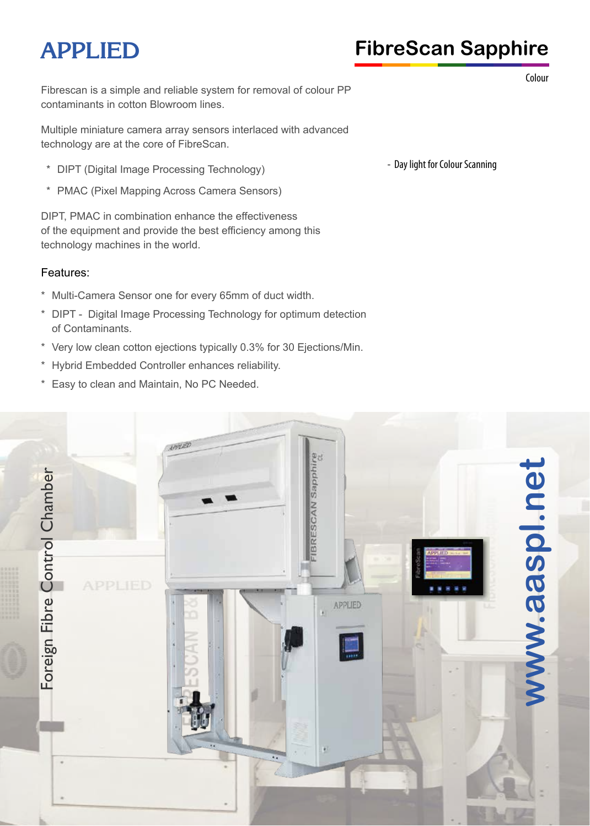# **APPLIED FibreScan Sapphire**

Fibrescan is a simple and reliable system for removal of colour PP contaminants in cotton Blowroom lines.

Multiple miniature camera array sensors interlaced with advanced technology are at the core of FibreScan.

- \* DIPT (Digital Image Processing Technology)
- \* PMAC (Pixel Mapping Across Camera Sensors)

DIPT, PMAC in combination enhance the effectiveness of the equipment and provide the best efficiency among this technology machines in the world.

#### Features:

- \* Multi-Camera Sensor one for every 65mm of duct width.
- \* DIPT Digital Image Processing Technology for optimum detection of Contaminants.
- \* Very low clean cotton ejections typically 0.3% for 30 Ejections/Min.
- \* Hybrid Embedded Controller enhances reliability.
- \* Easy to clean and Maintain, No PC Needed.

- Day light for Colour Scanning



Colour